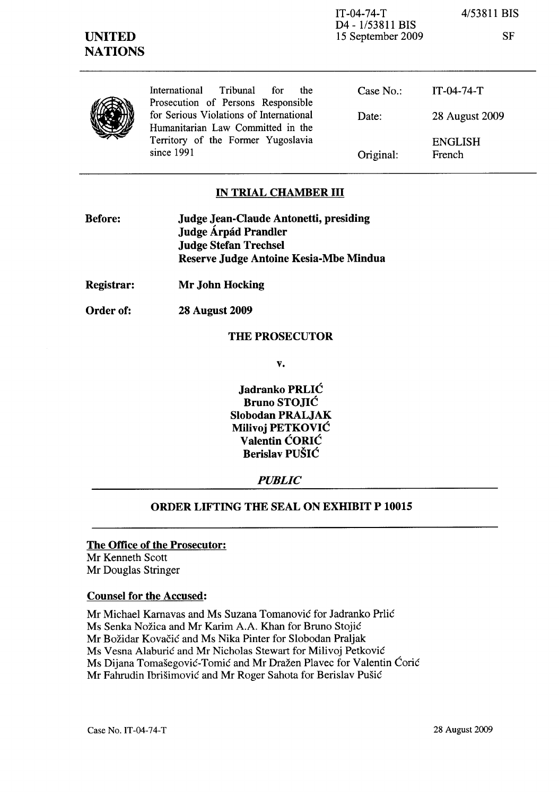IT-04-74-T D4 - 1/53811 BIS 15 September 2009 4/53811 BIS

SF

|  | International<br>Tribunal<br>for for<br>the<br>Prosecution of Persons Responsible | Case No.  | $IT-04-74-T$             |
|--|-----------------------------------------------------------------------------------|-----------|--------------------------|
|  | for Serious Violations of International<br>Humanitarian Law Committed in the      | Date:     | 28 August 2009           |
|  | Territory of the Former Yugoslavia<br>since 1991                                  | Original: | <b>ENGLISH</b><br>French |

### IN TRIAL CHAMBER III

| <b>Before:</b> | Judge Jean-Claude Antonetti, presiding |
|----------------|----------------------------------------|
|                | Judge Árpád Prandler                   |
|                | <b>Judge Stefan Trechsel</b>           |
|                | Reserve Judge Antoine Kesia-Mbe Mindua |

- Registrar: Mr John Hocking
- Order of: 28 August 2009

### THE PROSECUTOR

v.

Jadranko PRLIĆ Bruno STOJIĆ Slobodan PRALJAK Milivoj PETKOVIĆ Valentin ĆORIĆ Berislav PUŠIĆ

## *PUBLIC*

## ORDER LIFTING THE SEAL ON EXHIBIT P 10015

#### The Office of the Prosecutor:

Mr Kenneth Scott Mr Douglas Stringer

## Counsel for the Accused:

Mr Michael Kamavas and Ms Suzana Tomanović for Jadranko Prlić Ms Senka Nožica and Mr Karim A.A. Khan for Bruno Stojić Mr Božidar Kovačić and Ms Nika Pinter for Slobodan Praljak Ms Vesna Alaburić and Mr Nicholas Stewart for Milivoj Petković Ms Dijana Tomašegović-Tomić and Mr Dražen Plavec for Valentin Ćorić Mr Fahrudin Ibrišimović and Mr Roger Sahota for Berislav Pušić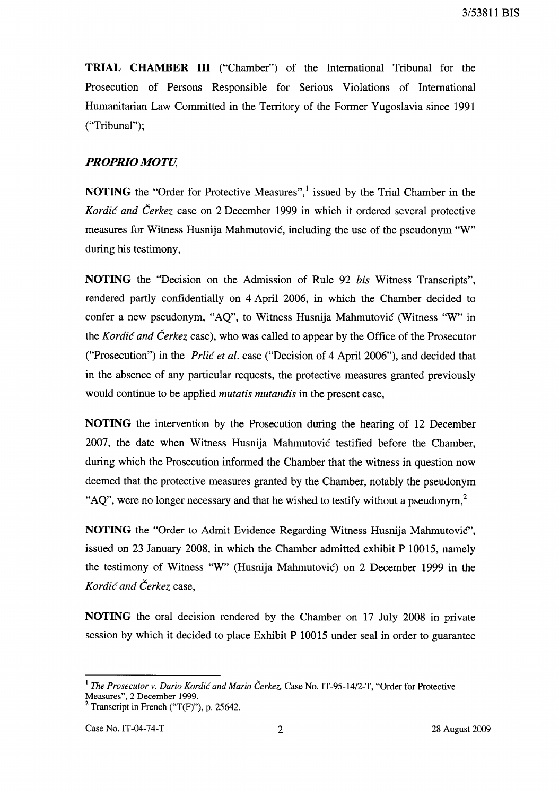**TRIAL CHAMBER III** ("Chamber") of the International Tribunal for the Prosecution of Persons Responsible for Serious Violations of International Humanitarian Law Committed in the Territory of the Former Yugoslavia since 1991 ("Tribunal");

# *PROPRIO MOTU,*

**NOTING** the "Order for Protective Measures",<sup>1</sup> issued by the Trial Chamber in the Kordić *and* Čerkez case on 2 December 1999 in which it ordered several protective measures for Witness Husnija Mahmutović, including the use of the pseudonym "W" during his testimony,

**NOTING** the "Decision on the Admission of Rule 92 *bis* Witness Transcripts", rendered partly confidentially on 4 April 2006, in which the Chamber decided to confer a new pseudonym, "AQ", to Witness Husnija Mahmutović (Witness "W" in the Kordić *and* Čerkez case), who was called to appear by the Office of the Prosecutor ("Prosecution") in the Prlić *et al.* case ("Decision of 4 April 2006"), and decided that in the absence of any particular requests, the protective measures granted previously would continue to be applied *mutatis mutandis* in the present case,

**NOTING** the intervention by the Prosecution during the hearing of 12 December 2007, the date when Witness Husnija Mahmutović testified before the Chamber, during which the Prosecution informed the Chamber that the witness in question now deemed that the protective measures granted by the Chamber, notably the pseudonym "AQ", were no longer necessary and that he wished to testify without a pseudonym,<sup>2</sup>

**NOTING** the "Order to Admit Evidence Regarding Witness Husnija Mahmutović", issued on 23 January 2008, in which the Chamber admitted exhibit P 10015, namely the testimony of Witness "W" (Husnija Mahmutović) on 2 December 1999 in the Kordić *and* Čerkez case,

**NOTING** the oral decision rendered by the Chamber on 17 July 2008 in private session by which it decided to place Exhibit P 10015 under seal in order to guarantee

<sup>l</sup>*The Prosecutor* v. *Dario* Kordić *and Mario* Čerkez, Case No. *IT-95-14/2-T,* "Order for Protective Measures", 2 December 1999.

<sup>&</sup>lt;sup>2</sup> Transcript in French ("T(F)"), p. 25642.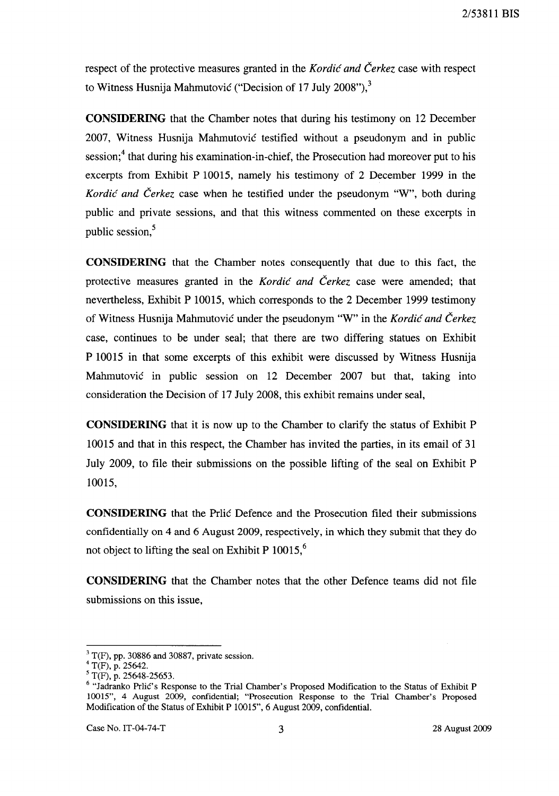2/53811 BIS

respect of the protective measures granted in the Kordić *and* Čerkez case with respect to Witness Husnija Mahmutović ("Decision of 17 July 2008"), $3$ 

**CONSIDERING** that the Chamber notes that during his testimony on 12 December 2007, Witness Husnija Mahmutović testified without a pseudonym and in public session;<sup>4</sup> that during his examination-in-chief, the Prosecution had moreover put to his excerpts from Exhibit P 10015, namely his testimony of 2 December 1999 in the Kordić *and* Čerkez case when he testified under the pseudonym "W", both during public and private sessions, and that this witness commented on these excerpts in public session.<sup>5</sup>

**CONSIDERING** that the Chamber notes consequently that due to this fact, the protective measures granted in the Kordić *and* Čerkez case were amended; that nevertheless, Exhibit P 10015, which corresponds to the 2 December 1999 testimony of Witness Husnija Mahmutović under the pseudonym "W" in the Kordić *and* Čerkez case, continues to be under seal; that there are two differing statues on Exhibit P 10015 in that some excerpts of this exhibit were discussed by Witness Husnija Mahmutović in public session on 12 December 2007 but that, taking into consideration the Decision of 17 July 2008, this exhibit remains under seal,

**CONSIDERING** that it is now up to the Chamber to clarify the status of Exhibit P 10015 and that in this respect, the Chamber has invited the parties, in its email of 31 July 2009, to file their submissions on the possible lifting of the seal on Exhibit P 10015,

**CONSIDERING** that the Prlić Defence and the Prosecution filed their submissions confidentially on 4 and 6 August 2009, respectively, in which they submit that they do not object to lifting the seal on Exhibit P  $10015$ <sup>6</sup>,

**CONSIDERING** that the Chamber notes that the other Defence teams did not file submissions on this issue,

 $3$  T(F), pp. 30886 and 30887, private session.

<sup>4</sup> T(F), p. 25642.

 $5$  T(F), p. 25648-25653.

<sup>&</sup>lt;sup>6</sup> "Jadranko Prlić's Response to the Trial Chamber's Proposed Modification to the Status of Exhibit P 10015", 4 August 2009, confidential; "Prosecution Response to the Trial Charnber's Proposed Modification of the Status of Exhibit P 10015", 6 August 2009, confidential.